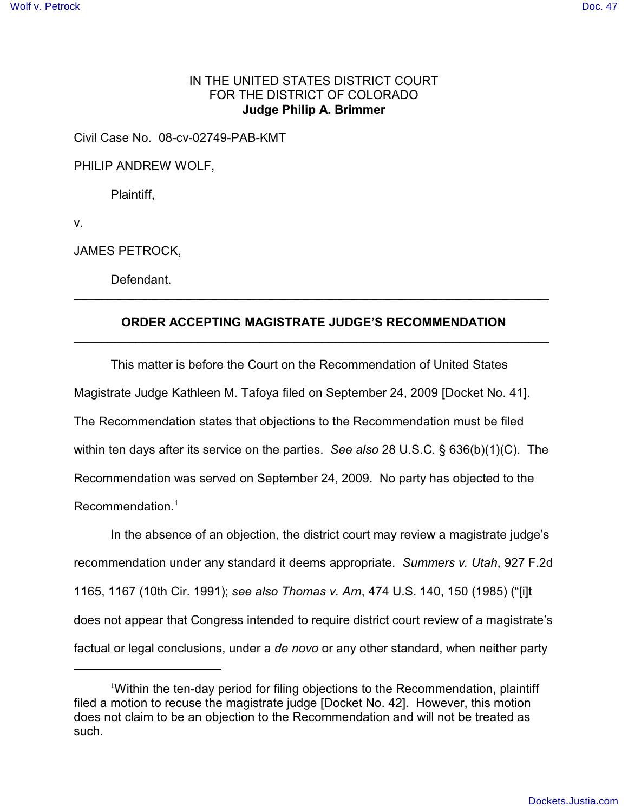## IN THE UNITED STATES DISTRICT COURT FOR THE DISTRICT OF COLORADO **Judge Philip A. Brimmer**

Civil Case No. 08-cv-02749-PAB-KMT

PHILIP ANDREW WOLF,

Plaintiff,

v.

JAMES PETROCK,

Defendant.

## **ORDER ACCEPTING MAGISTRATE JUDGE'S RECOMMENDATION** \_\_\_\_\_\_\_\_\_\_\_\_\_\_\_\_\_\_\_\_\_\_\_\_\_\_\_\_\_\_\_\_\_\_\_\_\_\_\_\_\_\_\_\_\_\_\_\_\_\_\_\_\_\_\_\_\_\_\_\_\_\_\_\_\_\_\_\_\_

 $\mathcal{L}_\text{G}$  , and the contribution of the contribution of the contribution of the contribution of the contribution of the contribution of the contribution of the contribution of the contribution of the contribution of t

This matter is before the Court on the Recommendation of United States Magistrate Judge Kathleen M. Tafoya filed on September 24, 2009 [Docket No. 41]. The Recommendation states that objections to the Recommendation must be filed within ten days after its service on the parties. *See also* 28 U.S.C. § 636(b)(1)(C). The Recommendation was served on September 24, 2009. No party has objected to the Recommendation.<sup>1</sup>

In the absence of an objection, the district court may review a magistrate judge's recommendation under any standard it deems appropriate. *Summers v. Utah*, 927 F.2d 1165, 1167 (10th Cir. 1991); *see also Thomas v. Arn*, 474 U.S. 140, 150 (1985) ("[i]t does not appear that Congress intended to require district court review of a magistrate's factual or legal conclusions, under a *de novo* or any other standard, when neither party

<sup>&</sup>lt;sup>1</sup>Within the ten-day period for filing objections to the Recommendation, plaintiff filed a motion to recuse the magistrate judge [Docket No. 42]. However, this motion does not claim to be an objection to the Recommendation and will not be treated as such.